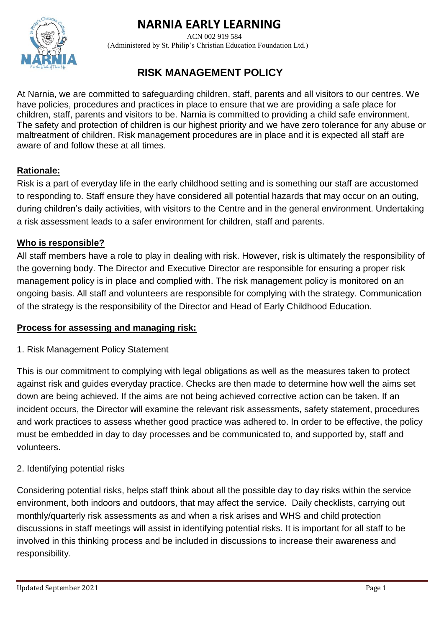# **NARNIA EARLY LEARNING**



ACN 002 919 584 (Administered by St. Philip's Christian Education Foundation Ltd.)

## **RISK MANAGEMENT POLICY**

At Narnia, we are committed to safeguarding children, staff, parents and all visitors to our centres. We have policies, procedures and practices in place to ensure that we are providing a safe place for children, staff, parents and visitors to be. Narnia is committed to providing a child safe environment. The safety and protection of children is our highest priority and we have zero tolerance for any abuse or maltreatment of children. Risk management procedures are in place and it is expected all staff are aware of and follow these at all times.

## **Rationale:**

Risk is a part of everyday life in the early childhood setting and is something our staff are accustomed to responding to. Staff ensure they have considered all potential hazards that may occur on an outing, during children's daily activities, with visitors to the Centre and in the general environment. Undertaking a risk assessment leads to a safer environment for children, staff and parents.

### **Who is responsible?**

All staff members have a role to play in dealing with risk. However, risk is ultimately the responsibility of the governing body. The Director and Executive Director are responsible for ensuring a proper risk management policy is in place and complied with. The risk management policy is monitored on an ongoing basis. All staff and volunteers are responsible for complying with the strategy. Communication of the strategy is the responsibility of the Director and Head of Early Childhood Education.

### **Process for assessing and managing risk:**

1. Risk Management Policy Statement

This is our commitment to complying with legal obligations as well as the measures taken to protect against risk and guides everyday practice. Checks are then made to determine how well the aims set down are being achieved. If the aims are not being achieved corrective action can be taken. If an incident occurs, the Director will examine the relevant risk assessments, safety statement, procedures and work practices to assess whether good practice was adhered to. In order to be effective, the policy must be embedded in day to day processes and be communicated to, and supported by, staff and volunteers.

## 2. Identifying potential risks

Considering potential risks, helps staff think about all the possible day to day risks within the service environment, both indoors and outdoors, that may affect the service. Daily checklists, carrying out monthly/quarterly risk assessments as and when a risk arises and WHS and child protection discussions in staff meetings will assist in identifying potential risks. It is important for all staff to be involved in this thinking process and be included in discussions to increase their awareness and responsibility.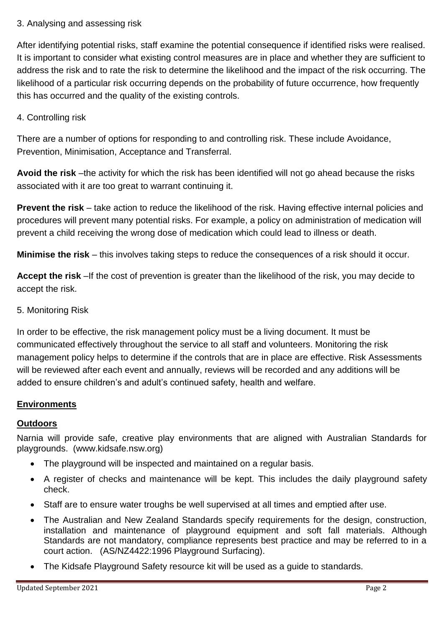## 3. Analysing and assessing risk

After identifying potential risks, staff examine the potential consequence if identified risks were realised. It is important to consider what existing control measures are in place and whether they are sufficient to address the risk and to rate the risk to determine the likelihood and the impact of the risk occurring. The likelihood of a particular risk occurring depends on the probability of future occurrence, how frequently this has occurred and the quality of the existing controls.

## 4. Controlling risk

There are a number of options for responding to and controlling risk. These include Avoidance, Prevention, Minimisation, Acceptance and Transferral.

Avoid the risk –the activity for which the risk has been identified will not go ahead because the risks associated with it are too great to warrant continuing it.

**Prevent the risk** – take action to reduce the likelihood of the risk. Having effective internal policies and procedures will prevent many potential risks. For example, a policy on administration of medication will prevent a child receiving the wrong dose of medication which could lead to illness or death.

**Minimise the risk** – this involves taking steps to reduce the consequences of a risk should it occur.

**Accept the risk** –If the cost of prevention is greater than the likelihood of the risk, you may decide to accept the risk.

## 5. Monitoring Risk

In order to be effective, the risk management policy must be a living document. It must be communicated effectively throughout the service to all staff and volunteers. Monitoring the risk management policy helps to determine if the controls that are in place are effective. Risk Assessments will be reviewed after each event and annually, reviews will be recorded and any additions will be added to ensure children's and adult's continued safety, health and welfare.

## **Environments**

### **Outdoors**

Narnia will provide safe, creative play environments that are aligned with Australian Standards for playgrounds. (www.kidsafe.nsw.org)

- The playground will be inspected and maintained on a regular basis.
- A register of checks and maintenance will be kept. This includes the daily playground safety check.
- Staff are to ensure water troughs be well supervised at all times and emptied after use.
- The Australian and New Zealand Standards specify requirements for the design, construction, installation and maintenance of playground equipment and soft fall materials. Although Standards are not mandatory, compliance represents best practice and may be referred to in a court action. (AS/NZ4422:1996 Playground Surfacing).
- The Kidsafe Playground Safety resource kit will be used as a guide to standards.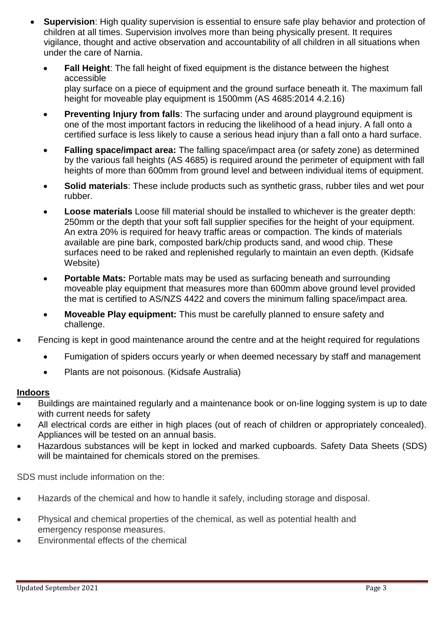- **Supervision**: High quality supervision is essential to ensure safe play behavior and protection of children at all times. Supervision involves more than being physically present. It requires vigilance, thought and active observation and accountability of all children in all situations when under the care of Narnia.
	- • **Fall Height**: The fall height of fixed equipment is the distance between the highest accessible play surface on a piece of equipment and the ground surface beneath it. The maximum fall height for moveable play equipment is 1500mm (AS 4685:2014 4.2.16)
	- • **Preventing Injury from falls**: The surfacing under and around playground equipment is one of the most important factors in reducing the likelihood of a head injury. A fall onto a certified surface is less likely to cause a serious head injury than a fall onto a hard surface.
	- • **Falling space/impact area:** The falling space/impact area (or safety zone) as determined by the various fall heights (AS 4685) is required around the perimeter of equipment with fall heights of more than 600mm from ground level and between individual items of equipment.
	- **Solid materials**: These include products such as synthetic grass, rubber tiles and wet pour rubber.
	- • **Loose materials** Loose fill material should be installed to whichever is the greater depth: 250mm or the depth that your soft fall supplier specifies for the height of your equipment. An extra 20% is required for heavy traffic areas or compaction. The kinds of materials available are pine bark, composted bark/chip products sand, and wood chip. These surfaces need to be raked and replenished regularly to maintain an even depth. (Kidsafe Website)
	- • **Portable Mats:** Portable mats may be used as surfacing beneath and surrounding moveable play equipment that measures more than 600mm above ground level provided the mat is certified to AS/NZS 4422 and covers the minimum falling space/impact area.
	- • **Moveable Play equipment:** This must be carefully planned to ensure safety and challenge.
- Fencing is kept in good maintenance around the centre and at the height required for regulations
	- Fumigation of spiders occurs yearly or when deemed necessary by staff and management
	- Plants are not poisonous. (Kidsafe Australia)

### **Indoors**

- Buildings are maintained regularly and a maintenance book or on-line logging system is up to date with current needs for safety
- All electrical cords are either in high places (out of reach of children or appropriately concealed). Appliances will be tested on an annual basis.
- Hazardous substances will be kept in locked and marked cupboards. Safety Data Sheets (SDS) will be maintained for chemicals stored on the premises.

[SDS](https://www.safeworkaustralia.gov.au/glossary#SDS) must include information on the:

- Hazards of the chemical and how to handle it safely, including storage and disposal.
- Physical and chemical properties of the chemical, as well as potential health and emergency response measures.
- Environmental effects of the chemical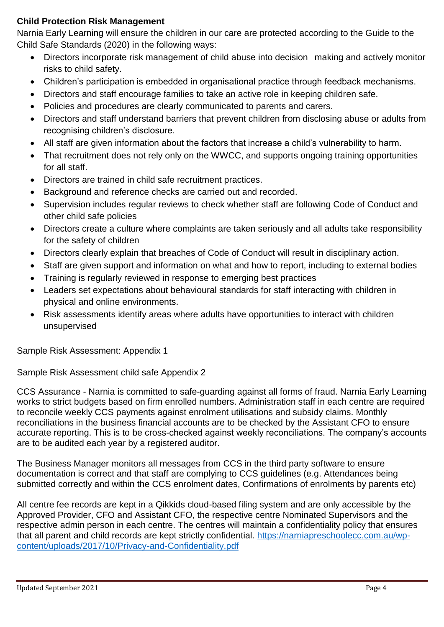### **Child Protection Risk Management**

Narnia Early Learning will ensure the children in our care are protected according to the Guide to the Child Safe Standards (2020) in the following ways:

- Directors incorporate risk management of child abuse into decision making and actively monitor risks to child safety.
- Children's participation is embedded in organisational practice through feedback mechanisms.
- Directors and staff encourage families to take an active role in keeping children safe.
- Policies and procedures are clearly communicated to parents and carers.
- Directors and staff understand barriers that prevent children from disclosing abuse or adults from recognising children's disclosure.
- All staff are given information about the factors that increase a child's vulnerability to harm.
- That recruitment does not rely only on the WWCC, and supports ongoing training opportunities for all staff.
- Directors are trained in child safe recruitment practices.
- Background and reference checks are carried out and recorded.
- Supervision includes regular reviews to check whether staff are following Code of Conduct and other child safe policies
- Directors create a culture where complaints are taken seriously and all adults take responsibility for the safety of children
- Directors clearly explain that breaches of Code of Conduct will result in disciplinary action.
- Staff are given support and information on what and how to report, including to external bodies
- Training is regularly reviewed in response to emerging best practices
- Leaders set expectations about behavioural standards for staff interacting with children in physical and online environments.
- Risk assessments identify areas where adults have opportunities to interact with children unsupervised

Sample Risk Assessment: Appendix 1

Sample Risk Assessment child safe Appendix 2

CCS Assurance - Narnia is committed to safe-guarding against all forms of fraud. Narnia Early Learning works to strict budgets based on firm enrolled numbers. Administration staff in each centre are required to reconcile weekly CCS payments against enrolment utilisations and subsidy claims. Monthly reconciliations in the business financial accounts are to be checked by the Assistant CFO to ensure accurate reporting. This is to be cross-checked against weekly reconciliations. The company's accounts are to be audited each year by a registered auditor.

The Business Manager monitors all messages from CCS in the third party software to ensure documentation is correct and that staff are complying to CCS guidelines (e.g. Attendances being submitted correctly and within the CCS enrolment dates, Confirmations of enrolments by parents etc)

All centre fee records are kept in a Qikkids cloud-based filing system and are only accessible by the Approved Provider, CFO and Assistant CFO, the respective centre Nominated Supervisors and the respective admin person in each centre. The centres will maintain a confidentiality policy that ensures that all parent and child records are kept strictly confidential. [https://narniapreschoolecc.com.au/wp](https://narniapreschoolecc.com.au/wp-content/uploads/2017/10/Privacy-and-Confidentiality.pdf)[content/uploads/2017/10/Privacy-and-Confidentiality.pdf](https://narniapreschoolecc.com.au/wp-content/uploads/2017/10/Privacy-and-Confidentiality.pdf)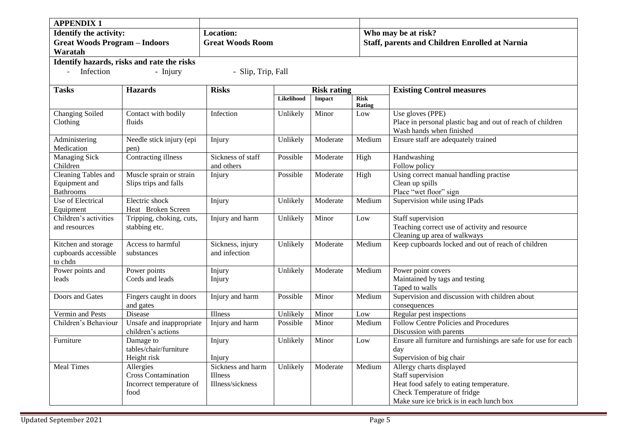| <b>APPENDIX 1</b>                                                                |                                                                             |                                                  |                    |          |                       |                                                                                                                                                                     |  |  |
|----------------------------------------------------------------------------------|-----------------------------------------------------------------------------|--------------------------------------------------|--------------------|----------|-----------------------|---------------------------------------------------------------------------------------------------------------------------------------------------------------------|--|--|
| <b>Identify the activity:</b><br><b>Great Woods Program - Indoors</b><br>Waratah |                                                                             | <b>Location:</b><br><b>Great Woods Room</b>      |                    |          |                       | Who may be at risk?<br><b>Staff, parents and Children Enrolled at Narnia</b>                                                                                        |  |  |
|                                                                                  | Identify hazards, risks and rate the risks                                  |                                                  |                    |          |                       |                                                                                                                                                                     |  |  |
| $\mathcal{L}^{\pm}$<br>Infection                                                 | - Injury                                                                    | - Slip, Trip, Fall                               |                    |          |                       |                                                                                                                                                                     |  |  |
| <b>Tasks</b>                                                                     | <b>Hazards</b>                                                              | <b>Risks</b>                                     | <b>Risk rating</b> |          |                       | <b>Existing Control measures</b>                                                                                                                                    |  |  |
|                                                                                  |                                                                             |                                                  | Likelihood         | Impact   | <b>Risk</b><br>Rating |                                                                                                                                                                     |  |  |
| Changing Soiled<br>Clothing                                                      | Contact with bodily<br>fluids                                               | Infection                                        | Unlikely           | Minor    | Low                   | Use gloves (PPE)<br>Place in personal plastic bag and out of reach of children<br>Wash hands when finished                                                          |  |  |
| Administering<br>Medication                                                      | Needle stick injury (epi<br>pen)                                            | Injury                                           | Unlikely           | Moderate | Medium                | Ensure staff are adequately trained                                                                                                                                 |  |  |
| <b>Managing Sick</b><br>Children                                                 | <b>Contracting illness</b>                                                  | Sickness of staff<br>and others                  | Possible           | Moderate | High                  | Handwashing<br>Follow policy                                                                                                                                        |  |  |
| <b>Cleaning Tables and</b><br>Equipment and<br><b>Bathrooms</b>                  | Muscle sprain or strain<br>Slips trips and falls                            | Injury                                           | Possible           | Moderate | High                  | Using correct manual handling practise<br>Clean up spills<br>Place "wet floor" sign                                                                                 |  |  |
| Use of Electrical<br>Equipment                                                   | Electric shock<br>Heat Broken Screen                                        | Injury                                           | Unlikely           | Moderate | Medium                | Supervision while using IPads                                                                                                                                       |  |  |
| Children's activities<br>and resources                                           | Tripping, choking, cuts,<br>stabbing etc.                                   | Injury and harm                                  | Unlikely           | Minor    | Low                   | Staff supervision<br>Teaching correct use of activity and resource<br>Cleaning up area of walkways                                                                  |  |  |
| Kitchen and storage<br>cupboards accessible<br>to chdn                           | Access to harmful<br>substances                                             | Sickness, injury<br>and infection                | Unlikely           | Moderate | Medium                | Keep cupboards locked and out of reach of children                                                                                                                  |  |  |
| Power points and<br>leads                                                        | Power points<br>Cords and leads                                             | Injury<br>Injury                                 | Unlikely           | Moderate | Medium                | Power point covers<br>Maintained by tags and testing<br>Taped to walls                                                                                              |  |  |
| Doors and Gates                                                                  | Fingers caught in doors<br>and gates                                        | Injury and harm                                  | Possible           | Minor    | Medium                | Supervision and discussion with children about<br>consequences                                                                                                      |  |  |
| Vermin and Pests                                                                 | Disease                                                                     | Illness                                          | Unlikely           | Minor    | Low                   | Regular pest inspections                                                                                                                                            |  |  |
| Children's Behaviour                                                             | Unsafe and inappropriate<br>children's actions                              | Injury and harm                                  | Possible           | Minor    | Medium                | Follow Centre Policies and Procedures<br>Discussion with parents                                                                                                    |  |  |
| Furniture                                                                        | Damage to<br>tables/chair/furniture<br>Height risk                          | Injury<br>Injury                                 | Unlikely           | Minor    | Low                   | Ensure all furniture and furnishings are safe for use for each<br>day<br>Supervision of big chair                                                                   |  |  |
| <b>Meal Times</b>                                                                | Allergies<br><b>Cross Contamination</b><br>Incorrect temperature of<br>food | Sickness and harm<br>Illness<br>Illness/sickness | Unlikely           | Moderate | Medium                | Allergy charts displayed<br>Staff supervision<br>Heat food safely to eating temperature.<br>Check Temperature of fridge<br>Make sure ice brick is in each lunch box |  |  |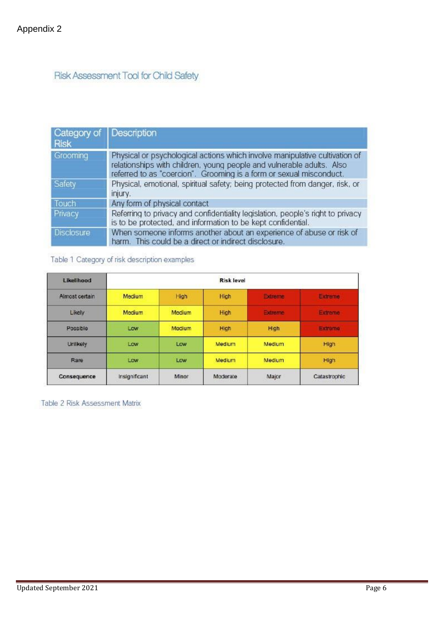## Risk Assessment Tool for Child Safety

| Category of Description<br><b>Risk</b> |                                                                                                                                                                                                                             |
|----------------------------------------|-----------------------------------------------------------------------------------------------------------------------------------------------------------------------------------------------------------------------------|
| Grooming                               | Physical or psychological actions which involve manipulative cultivation of<br>relationships with children, young people and vulnerable adults. Also<br>referred to as "coercion". Grooming is a form or sexual misconduct. |
| Safety                                 | Physical, emotional, spiritual safety; being protected from danger, risk, or<br>injury.                                                                                                                                     |
| Touch                                  | Any form of physical contact                                                                                                                                                                                                |
| Privacy                                | Referring to privacy and confidentiality legislation, people's right to privacy<br>is to be protected, and information to be kept confidential.                                                                             |
| Disclosure                             | When someone informs another about an experience of abuse or risk of<br>harm. This could be a direct or indirect disclosure.                                                                                                |

Table 1 Category of risk description examples

| Likelihood     | <b>Risk level</b> |               |          |                     |                |  |  |
|----------------|-------------------|---------------|----------|---------------------|----------------|--|--|
| Almost certain | Medium            | High          | High     | Extreme             | Extreme        |  |  |
| Likely         | Medium            | <b>Medium</b> | High     | <b>Extreme</b>      | <b>Extreme</b> |  |  |
| Possible       | Low               | Medium        | High     | High                | Extreme        |  |  |
| Unlikely       | Low               | Low           | Medium   | Medium <sup>1</sup> | High           |  |  |
| Rare           | Low               | Low           | Medium   | Medium              | High           |  |  |
| Consequence    | Insignificant     | Minor         | Moderate | Major               | Catastrophic   |  |  |

Table 2 Risk Assessment Matrix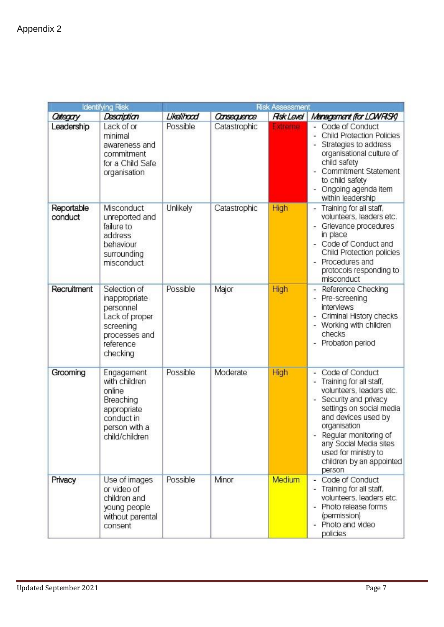| ldentifying Risk      |                                                                                                                     |            |              | Risk Assessment  |                                                                                                                                                                                                                                                                                      |
|-----------------------|---------------------------------------------------------------------------------------------------------------------|------------|--------------|------------------|--------------------------------------------------------------------------------------------------------------------------------------------------------------------------------------------------------------------------------------------------------------------------------------|
| Category              | Description                                                                                                         | Likelihood | Consequence  | <b>Rsk Level</b> | Management (for LOWRISK)                                                                                                                                                                                                                                                             |
| Leadership            | Lack of or<br>minimal<br>awareness and<br>commitment<br>for a Child Safe<br>organisation                            | Possible   | Catastrophic | <b>Extreme</b>   | Code of Conduct<br><b>Child Protection Policies</b><br>Strategies to address<br>organisational culture of<br>child safety<br>Commitment Statement<br>to child safety<br>- Ongoing agenda item<br>within leadership                                                                   |
| Reportable<br>conduct | Misconduct<br>unreported and<br>failure to<br>address<br>behaviour<br>surrounding<br>misconduct                     | Unlikely   | Catastrophic | High             | Training for all staff,<br>volunteers, leaders etc.<br>Grievance procedures<br>in place<br>Code of Conduct and<br>Child Protection policies<br>Procedures and<br>۰<br>protocols responding to<br>misconduct                                                                          |
| Recruitment           | Selection of<br>inappropriate<br>personnel<br>Lack of proper<br>screening<br>processes and<br>reference<br>checking | Possible   | Major        | High             | Reference Checking<br>- Pre-screening<br><i>interviews</i><br>- Criminal History checks<br>- Working with children<br>checks<br>- Probation period                                                                                                                                   |
| Grooming              | Engagement<br>with children<br>online<br>Breaching<br>appropriate<br>conduct in<br>person with a<br>child/children  | Possible   | Moderate     | High             | Code of Conduct<br>Training for all staff,<br>volunteers, leaders etc.<br>Security and privacy<br>settings on social media<br>and devices used by<br>organisation<br>- Regular monitoring of<br>any Social Media sites<br>used for ministry to<br>children by an appointed<br>person |
| Privacy               | Use of images<br>or video of<br>children and<br>young people<br>without parental<br>consent                         | Possible   | Minor        | Medium           | Code of Conduct<br>Training for all staff,<br>volunteers, leaders etc.<br>Photo release forms<br>(permission)<br>- Photo and video<br>policies                                                                                                                                       |